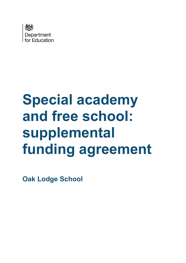

# **Special academy and free school: supplemental funding agreement**

**Oak Lodge School**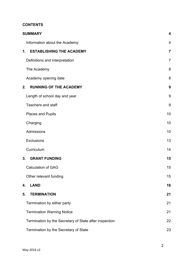# **CONTENTS**

| <b>SUMMARY</b>                                         | 4              |
|--------------------------------------------------------|----------------|
| Information about the Academy:                         | 4              |
| <b>ESTABLISHING THE ACADEMY</b><br>1.                  | $\overline{7}$ |
| Definitions and interpretation                         | $\overline{7}$ |
| The Academy                                            | 8              |
| Academy opening date                                   | 8              |
| <b>RUNNING OF THE ACADEMY</b><br>2.                    | 9              |
| Length of school day and year                          | 9              |
| <b>Teachers and staff</b>                              | 9              |
| Places and Pupils                                      | 10             |
| Charging                                               | 10             |
| Admissions                                             | 10             |
| <b>Exclusions</b>                                      | 13             |
| Curriculum                                             | 14             |
| <b>GRANT FUNDING</b><br>3.                             | 15             |
| <b>Calculation of GAG</b>                              | 15             |
| Other relevant funding                                 | 15             |
| <b>LAND</b><br>4.                                      | 16             |
| <b>TERMINATION</b><br>5.                               | 21             |
| Termination by either party                            | 21             |
| <b>Termination Warning Notice</b>                      | 21             |
| Termination by the Secretary of State after inspection | 22             |
| Termination by the Secretary of State                  | 23             |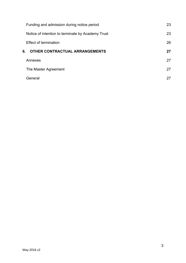| Funding and admission during notice period        | 23 |
|---------------------------------------------------|----|
| Notice of intention to terminate by Academy Trust | 23 |
| <b>Effect of termination</b>                      | 26 |
| 6.<br><b>OTHER CONTRACTUAL ARRANGEMENTS</b>       | 27 |
| Annexes                                           | 27 |
| The Master Agreement                              | 27 |
| General                                           | 27 |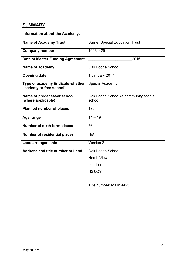# <span id="page-3-0"></span>**SUMMARY**

# <span id="page-3-1"></span>**Information about the Academy:**

| <b>Name of Academy Trust</b>                                 | <b>Barnet Special Education Trust</b>            |
|--------------------------------------------------------------|--------------------------------------------------|
| <b>Company number</b>                                        | 10034425                                         |
| Date of Master Funding Agreement                             | 2016                                             |
| Name of academy                                              | Oak Lodge School                                 |
| <b>Opening date</b>                                          | 1 January 2017                                   |
| Type of academy (indicate whether<br>academy or free school) | Special Academy                                  |
| Name of predecessor school<br>(where applicable)             | Oak Lodge School (a community special<br>school) |
| <b>Planned number of places</b>                              | 175                                              |
| Age range                                                    | $11 - 19$                                        |
| <b>Number of sixth form places</b>                           | 56                                               |
| <b>Number of residential places</b>                          | N/A                                              |
| <b>Land arrangements</b>                                     | Version 2                                        |
| <b>Address and title number of Land</b>                      | Oak Lodge School                                 |
|                                                              | <b>Heath View</b>                                |
|                                                              | London                                           |
|                                                              | <b>N20QY</b>                                     |
|                                                              |                                                  |
|                                                              | Title number: MX414425                           |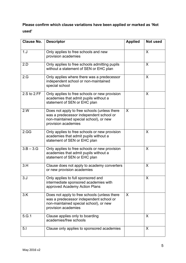# **Please confirm which clause variations have been applied or marked as 'Not used'**

| <b>Clause No.</b> | <b>Descriptor</b>                                                                                                                                        | <b>Applied</b> | Not used |
|-------------------|----------------------------------------------------------------------------------------------------------------------------------------------------------|----------------|----------|
| 1. J              | Only applies to free schools and new<br>provision academies                                                                                              |                | X        |
| 2.D               | Only applies to free schools admitting pupils<br>without a statement of SEN or EHC plan                                                                  |                | X        |
| 2.G               | Only applies where there was a predecessor<br>independent school or non-maintained<br>special school                                                     |                | X        |
| $2.S$ to $2.FF$   | Only applies to free schools or new provision<br>academies that admit pupils without a<br>statement of SEN or EHC plan                                   |                | X        |
| 2.W               | Does not apply to free schools (unless there<br>was a predecessor independent school or<br>non-maintained special school), or new<br>provision academies | X              |          |
| 2.GG              | Only applies to free schools or new provision<br>academies that admit pupils without a<br>statement of SEN or EHC plan                                   |                | X        |
| $3.B - 3.G$       | Only applies to free schools or new provision<br>academies that admit pupils without a<br>statement of SEN or EHC plan                                   |                | X        |
| 3.H               | Clause does not apply to academy converters<br>or new provision academies                                                                                |                | X        |
| 3. J              | Only applies to full sponsored and<br>intermediate sponsored academies with<br>approved Academy Action Plans                                             |                | X        |
| 3.K               | Does not apply to free schools (unless there<br>was a predecessor independent school or<br>non-maintained special school), or new<br>provision academies | X              |          |
| 5.G.1             | Clause applies only to boarding<br>academies/free schools                                                                                                |                | X        |
| 5.1               | Clause only applies to sponsored academies                                                                                                               |                | X        |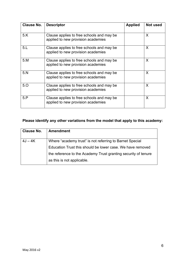| <b>Clause No.</b> | <b>Descriptor</b>                                                                | <b>Applied</b> | Not used     |
|-------------------|----------------------------------------------------------------------------------|----------------|--------------|
| 5.K               | Clause applies to free schools and may be.<br>applied to new provision academies |                | X            |
| 5 <sub>1</sub>    | Clause applies to free schools and may be<br>applied to new provision academies  |                | $\mathsf{X}$ |
| 5.M               | Clause applies to free schools and may be<br>applied to new provision academies  |                | X            |
| 5. N              | Clause applies to free schools and may be<br>applied to new provision academies  |                | $\mathsf{X}$ |
| 5.0               | Clause applies to free schools and may be.<br>applied to new provision academies |                | $\mathsf{X}$ |
| 5.P               | Clause applies to free schools and may be.<br>applied to new provision academies |                | X            |

# **Please identify any other variations from the model that apply to this academy:**

| <b>Clause No.</b> | <b>Amendment</b>                                               |
|-------------------|----------------------------------------------------------------|
| $4J - 4K$         | Where "academy trust" is not referring to Barnet Special       |
|                   | Education Trust this should be lower case. We have removed     |
|                   | the reference to the Academy Trust granting security of tenure |
|                   | as this is not applicable.                                     |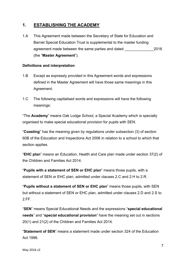# <span id="page-6-0"></span>**1. ESTABLISHING THE ACADEMY**

1.A This Agreement made between the Secretary of State for Education and Barnet Special Education Trust is supplemental to the master funding agreement made between the same parties and dated 2016 (the "**Master Agreement**").

#### <span id="page-6-1"></span>**Definitions and interpretation**

- 1.B Except as expressly provided in this Agreement words and expressions defined in the Master Agreement will have those same meanings in this Agreement.
- 1.C The following capitalised words and expressions will have the following meanings:

"The **Academy**" means Oak Lodge School, a Special Academy which is specially organised to make special educational provision for pupils with SEN.

"**Coasting**" has the meaning given by regulations under subsection (3) of section 60B of the Education and Inspections Act 2006 in relation to a school to which that section applies.

"**EHC plan**" means an Education, Health and Care plan made under section 37(2) of the Children and Families Act 2014.

"**Pupils with a statement of SEN or EHC plan**" means those pupils, with a statement of SEN or EHC plan, admitted under clauses 2.C and 2.H to 2.R.

"**Pupils without a statement of SEN or EHC plan**" means those pupils, with SEN but without a statement of SEN or EHC plan, admitted under clauses 2.D and 2.S to 2.FF.

"**SEN**" means Special Educational Needs and the expressions "**special educational needs**" and "**special educational provision**" have the meaning set out in sections 20(1) and 21(2) of the Children and Families Act 2014.

"**Statement of SEN**" means a statement made under section 324 of the Education Act 1996.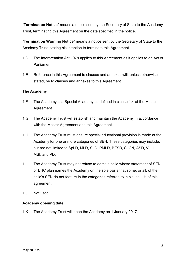"**Termination Notice**" means a notice sent by the Secretary of State to the Academy Trust, terminating this Agreement on the date specified in the notice.

"**Termination Warning Notice**" means a notice sent by the Secretary of State to the Academy Trust, stating his intention to terminate this Agreement.

- 1.D The Interpretation Act 1978 applies to this Agreement as it applies to an Act of **Parliament**
- 1.E Reference in this Agreement to clauses and annexes will, unless otherwise stated, be to clauses and annexes to this Agreement.

# <span id="page-7-0"></span>**The Academy**

- 1.F The Academy is a Special Academy as defined in clause 1.4 of the Master Agreement.
- 1.G The Academy Trust will establish and maintain the Academy in accordance with the Master Agreement and this Agreement.
- 1.H The Academy Trust must ensure special educational provision is made at the Academy for one or more categories of SEN. These categories may include, but are not limited to SpLD, MLD, SLD, PMLD, BESD, SLCN, ASD, VI, HI, MSI, and PD.
- 1.I The Academy Trust may not refuse to admit a child whose statement of SEN or EHC plan names the Academy on the sole basis that some, or all, of the child's SEN do not feature in the categories referred to in clause 1.H of this agreement.
- 1.J Not used.

## <span id="page-7-1"></span>**Academy opening date**

1.K The Academy Trust will open the Academy on 1 January 2017.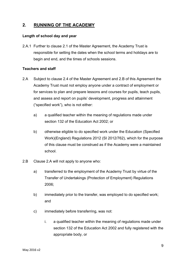# <span id="page-8-0"></span>**2. RUNNING OF THE ACADEMY**

#### <span id="page-8-1"></span>**Length of school day and year**

2.A.1 Further to clause 2.1 of the Master Agreement, the Academy Trust is responsible for setting the dates when the school terms and holidays are to begin and end, and the times of schools sessions.

#### <span id="page-8-2"></span>**Teachers and staff**

- 2.A Subject to clause 2.4 of the Master Agreement and 2.B of this Agreement the Academy Trust must not employ anyone under a contract of employment or for services to plan and prepare lessons and courses for pupils, teach pupils, and assess and report on pupils' development, progress and attainment ("specified work"), who is not either:
	- a) a qualified teacher within the meaning of regulations made under section 132 of the Education Act 2002; or
	- b) otherwise eligible to do specified work under the Education (Specified Work)(England) Regulations 2012 (SI 2012/762), which for the purpose of this clause must be construed as if the Academy were a maintained school.
- 2.B Clause 2.A will not apply to anyone who:
	- a) transferred to the employment of the Academy Trust by virtue of the Transfer of Undertakings (Protection of Employment) Regulations 2006;
	- b) immediately prior to the transfer, was employed to do specified work; and
	- c) immediately before transferring, was not:
		- i. a qualified teacher within the meaning of regulations made under section 132 of the Education Act 2002 and fully registered with the appropriate body, or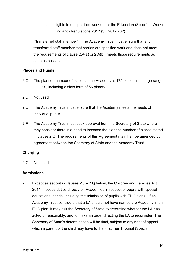ii. eligible to do specified work under the Education (Specified Work) (England) Regulations 2012 (SE 2012/762)

("transferred staff member"). The Academy Trust must ensure that any transferred staff member that carries out specified work and does not meet the requirements of clause 2.A(a) or 2.A(b), meets those requirements as soon as possible.

# <span id="page-9-0"></span>**Places and Pupils**

- 2.C The planned number of places at the Academy is 175 places in the age range 11 – 19, including a sixth form of 56 places.
- 2.D Not used.
- 2.E The Academy Trust must ensure that the Academy meets the needs of individual pupils.
- 2.F The Academy Trust must seek approval from the Secretary of State where they consider there is a need to increase the planned number of places stated in clause 2.C. The requirements of this Agreement may then be amended by agreement between the Secretary of State and the Academy Trust.

# <span id="page-9-1"></span>**Charging**

2.G Not used.

# <span id="page-9-2"></span>**Admissions**

2.H Except as set out in clauses 2.J – 2.Q below, the Children and Families Act 2014 imposes duties directly on Academies in respect of pupils with special educational needs, including the admission of pupils with EHC plans. If an Academy Trust considers that a LA should not have named the Academy in an EHC plan, it may ask the Secretary of State to determine whether the LA has acted unreasonably, and to make an order directing the LA to reconsider. The Secretary of State's determination will be final, subject to any right of appeal which a parent of the child may have to the First Tier Tribunal (Special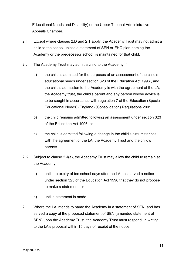Educational Needs and Disability) or the Upper Tribunal Administrative Appeals Chamber.

- 2.I Except where clauses 2.D and 2.T apply, the Academy Trust may not admit a child to the school unless a statement of SEN or EHC plan naming the Academy or the predecessor school, is maintained for that child.
- 2.J The Academy Trust may admit a child to the Academy if:
	- a) the child is admitted for the purposes of an assessment of the child's educational needs under section 323 of the Education Act 1996 , and the child's admission to the Academy is with the agreement of the LA, the Academy trust, the child's parent and any person whose advice is to be sought in accordance with regulation 7 of the Education (Special Educational Needs) (England) (Consolidation) Regulations 2001
	- b) the child remains admitted following an assessment under section 323 of the Education Act 1996; or
	- c) the child is admitted following a change in the child's circumstances, with the agreement of the LA, the Academy Trust and the child's parents.
- 2.K Subject to clause 2.J(a), the Academy Trust may allow the child to remain at the Academy:
	- a) until the expiry of ten school days after the LA has served a notice under section 325 of the Education Act 1996 that they do not propose to make a statement; or
	- b) until a statement is made.
- 2.L Where the LA intends to name the Academy in a statement of SEN, and has served a copy of the proposed statement of SEN (amended statement of SEN) upon the Academy Trust, the Academy Trust must respond, in writing, to the LA's proposal within 15 days of receipt of the notice.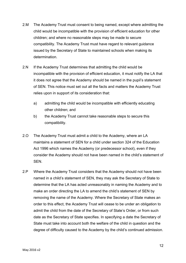- 2.M The Academy Trust must consent to being named, except where admitting the child would be incompatible with the provision of efficient education for other children; and where no reasonable steps may be made to secure compatibility. The Academy Trust must have regard to relevant guidance issued by the Secretary of State to maintained schools when making its determination.
- 2.N If the Academy Trust determines that admitting the child would be incompatible with the provision of efficient education, it must notify the LA that it does not agree that the Academy should be named in the pupil's statement of SEN. This notice must set out all the facts and matters the Academy Trust relies upon in support of its consideration that:
	- a) admitting the child would be incompatible with efficiently educating other children; and
	- b) the Academy Trust cannot take reasonable steps to secure this compatibility.
- 2.O The Academy Trust must admit a child to the Academy, where an LA maintains a statement of SEN for a child under section 324 of the Education Act 1996 which names the Academy (or predecessor school), even if they consider the Academy should not have been named in the child's statement of SEN.
- 2.P Where the Academy Trust considers that the Academy should not have been named in a child's statement of SEN, they may ask the Secretary of State to determine that the LA has acted unreasonably in naming the Academy and to make an order directing the LA to amend the child's statement of SEN by removing the name of the Academy. Where the Secretary of State makes an order to this effect, the Academy Trust will cease to be under an obligation to admit the child from the date of the Secretary of State's Order, or from such date as the Secretary of State specifies. In specifying a date the Secretary of State must take into account both the welfare of the child in question and the degree of difficulty caused to the Academy by the child's continued admission.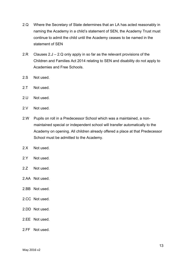- 2.Q Where the Secretary of State determines that an LA has acted reasonably in naming the Academy in a child's statement of SEN, the Academy Trust must continue to admit the child until the Academy ceases to be named in the statement of SEN
- 2.R Clauses 2.J 2.Q only apply in so far as the relevant provisions of the Children and Families Act 2014 relating to SEN and disability do not apply to Academies and Free Schools.
- 2.S Not used.
- 2.T Not used.
- 2.U Not used.
- 2.V Not used.
- 2.W Pupils on roll in a Predecessor School which was a maintained, a nonmaintained special or independent school will transfer automatically to the Academy on opening. All children already offered a place at that Predecessor School must be admitted to the Academy.
- 2.X Not used.
- 2.Y Not used.
- 2. Not used.
- 2.AA Not used.
- 2.BB Not used.
- 2.CC Not used.
- 2.DD Not used.
- 2.EE Not used.
- 2.FF Not used.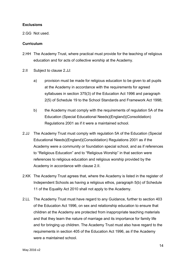## <span id="page-13-0"></span>**Exclusions**

2.GG Not used.

## <span id="page-13-1"></span>**Curriculum**

- 2.HH The Academy Trust, where practical must provide for the teaching of religious education and for acts of collective worship at the Academy.
- 2.II Subject to clause 2.JJ:
	- a) provision must be made for religious education to be given to all pupils at the Academy in accordance with the requirements for agreed syllabuses in section 375(3) of the Education Act 1996 and paragraph 2(5) of Schedule 19 to the School Standards and Framework Act 1998;
	- b) the Academy must comply with the requirements of regulation 5A of the Education (Special Educational Needs)(England)(Consolidation) Regulations 2001 as if it were a maintained school.
- 2.JJ The Academy Trust must comply with regulation 5A of the Education (Special Educational Needs)(England)(Consolidation) Regulations 2001 as if the Academy were a community or foundation special school, and as if references to "Religious Education" and to "Religious Worship" in that section were references to religious education and religious worship provided by the Academy in accordance with clause 2.II.
- 2.KK The Academy Trust agrees that, where the Academy is listed in the register of Independent Schools as having a religious ethos, paragraph 5(b) of Schedule 11 of the Equality Act 2010 shall not apply to the Academy.
- 2.LL The Academy Trust must have regard to any Guidance, further to section 403 of the Education Act 1996, on sex and relationship education to ensure that children at the Academy are protected from inappropriate teaching materials and that they learn the nature of marriage and its importance for family life and for bringing up children. The Academy Trust must also have regard to the requirements in section 405 of the Education Act 1996, as if the Academy were a maintained school.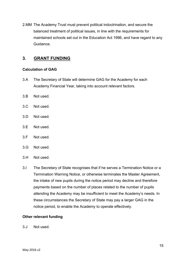2.MM The Academy Trust must prevent political indoctrination, and secure the balanced treatment of political issues, in line with the requirements for maintained schools set out in the Education Act 1996, and have regard to any Guidance.

# <span id="page-14-0"></span>**3. GRANT FUNDING**

# <span id="page-14-1"></span>**Calculation of GAG**

- 3.A The Secretary of State will determine GAG for the Academy for each Academy Financial Year, taking into account relevant factors.
- 3.B Not used.
- 3.C Not used.
- 3.D Not used.
- 3.E Not used.
- 3.F Not used.
- 3.G Not used.
- 3.H Not used.
- 3.I The Secretary of State recognises that if he serves a Termination Notice or a Termination Warning Notice, or otherwise terminates the Master Agreement, the intake of new pupils during the notice period may decline and therefore payments based on the number of places related to the number of pupils attending the Academy may be insufficient to meet the Academy's needs. In these circumstances the Secretary of State may pay a larger GAG in the notice period, to enable the Academy to operate effectively.

#### <span id="page-14-2"></span>**Other relevant funding**

3.J Not used.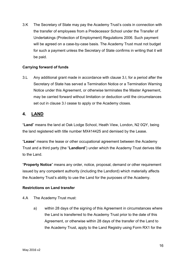3.K The Secretary of State may pay the Academy Trust's costs in connection with the transfer of employees from a Predecessor School under the Transfer of Undertakings (Protection of Employment) Regulations 2006. Such payment will be agreed on a case-by-case basis. The Academy Trust must not budget for such a payment unless the Secretary of State confirms in writing that it will be paid.

# **Carrying forward of funds**

3.L Any additional grant made in accordance with clause 3.I, for a period after the Secretary of State has served a Termination Notice or a Termination Warning Notice under this Agreement, or otherwise terminates the Master Agreement, may be carried forward without limitation or deduction until the circumstances set out in clause 3.I cease to apply or the Academy closes.

# <span id="page-15-0"></span>**4. LAND**

"**Land**" means the land at Oak Lodge School, Heath View, London, N2 0QY, being the land registered with title number MX414425 and demised by the Lease.

"**Lease**" means the lease or other occupational agreement between the Academy Trust and a third party (the "**Landlord**") under which the Academy Trust derives title to the Land.

"**Property Notice**" means any order, notice, proposal, demand or other requirement issued by any competent authority (including the Landlord) which materially affects the Academy Trust's ability to use the Land for the purposes of the Academy.

#### **Restrictions on Land transfer**

- 4.A The Academy Trust must:
	- a) within 28 days of the signing of this Agreement in circumstances where the Land is transferred to the Academy Trust prior to the date of this Agreement, or otherwise within 28 days of the transfer of the Land to the Academy Trust, apply to the Land Registry using Form RX1 for the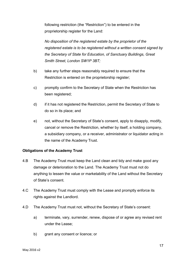following restriction (the "Restriction") to be entered in the proprietorship register for the Land:

*No disposition of the registered estate by the proprietor of the registered estate is to be registered without a written consent signed by the Secretary of State for Education, of Sanctuary Buildings, Great Smith Street, London SW1P 3BT;*

- b) take any further steps reasonably required to ensure that the Restriction is entered on the proprietorship register;
- c) promptly confirm to the Secretary of State when the Restriction has been registered;
- d) if it has not registered the Restriction, permit the Secretary of State to do so in its place; and
- e) not, without the Secretary of State's consent, apply to disapply, modify, cancel or remove the Restriction, whether by itself, a holding company, a subsidiary company, or a receiver, administrator or liquidator acting in the name of the Academy Trust.

# **Obligations of the Academy Trust**

- 4.B The Academy Trust must keep the Land clean and tidy and make good any damage or deterioration to the Land. The Academy Trust must not do anything to lessen the value or marketability of the Land without the Secretary of State's consent.
- 4.C The Academy Trust must comply with the Lease and promptly enforce its rights against the Landlord.
- 4.D The Academy Trust must not, without the Secretary of State's consent:
	- a) terminate, vary, surrender, renew, dispose of or agree any revised rent under the Lease;
	- b) grant any consent or licence; or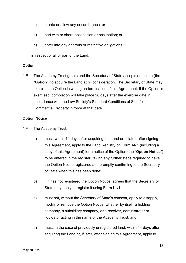- c) create or allow any encumbrance; or
- d) part with or share possession or occupation; or
- e) enter into any onerous or restrictive obligations,

in respect of all or part of the Land.

# **Option**

4.E The Academy Trust grants and the Secretary of State accepts an option (the "**Option**") to acquire the Land at nil consideration. The Secretary of State may exercise the Option in writing on termination of this Agreement. If the Option is exercised, completion will take place 28 days after the exercise date in accordance with the Law Society's Standard Conditions of Sale for Commercial Property in force at that date.

# **Option Notice**

- 4.F The Academy Trust:
	- a) must, within 14 days after acquiring the Land or, if later, after signing this Agreement, apply to the Land Registry on Form AN1 (including a copy of this Agreement) for a notice of the Option (the "**Option Notice**") to be entered in the register, taking any further steps required to have the Option Notice registered and promptly confirming to the Secretary of State when this has been done;
	- b) if it has not registered the Option Notice, agrees that the Secretary of State may apply to register it using Form UN1;
	- c) must not, without the Secretary of State's consent, apply to disapply, modify or remove the Option Notice, whether by itself, a holding company, a subsidiary company, or a receiver, administrator or liquidator acting in the name of the Academy Trust, and
	- d) must, in the case of previously unregistered land, within 14 days after acquiring the Land or, if later, after signing this Agreement, apply to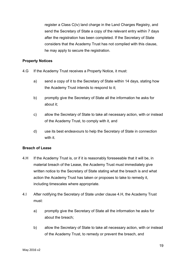register a Class C(iv) land charge in the Land Charges Registry, and send the Secretary of State a copy of the relevant entry within 7 days after the registration has been completed. If the Secretary of State considers that the Academy Trust has not complied with this clause, he may apply to secure the registration.

## **Property Notices**

- 4.G If the Academy Trust receives a Property Notice, it must:
	- a) send a copy of it to the Secretary of State within 14 days, stating how the Academy Trust intends to respond to it;
	- b) promptly give the Secretary of State all the information he asks for about it;
	- c) allow the Secretary of State to take all necessary action, with or instead of the Academy Trust, to comply with it, and
	- d) use its best endeavours to help the Secretary of State in connection with it.

# **Breach of Lease**

- 4.H If the Academy Trust is, or if it is reasonably foreseeable that it will be, in material breach of the Lease, the Academy Trust must immediately give written notice to the Secretary of State stating what the breach is and what action the Academy Trust has taken or proposes to take to remedy it, including timescales where appropriate.
- 4.I After notifying the Secretary of State under clause 4.H, the Academy Trust must:
	- a) promptly give the Secretary of State all the information he asks for about the breach;
	- b) allow the Secretary of State to take all necessary action, with or instead of the Academy Trust, to remedy or prevent the breach, and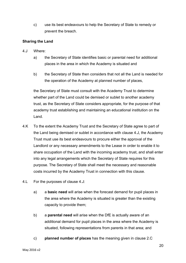c) use its best endeavours to help the Secretary of State to remedy or prevent the breach.

# **Sharing the Land**

- 4.J Where:
	- a) the Secretary of State identifies basic or parental need for additional places in the area in which the Academy is situated and
	- b) the Secretary of State then considers that not all the Land is needed for the operation of the Academy at planned number of places,

the Secretary of State must consult with the Academy Trust to determine whether part of the Land could be demised or sublet to another academy trust, as the Secretary of State considers appropriate, for the purpose of that academy trust establishing and maintaining an educational institution on the Land.

- 4.K To the extent the Academy Trust and the Secretary of State agree to part of the Land being demised or sublet in accordance with clause 4.J, the Academy Trust must use its best endeavours to procure either the approval of the Landlord or any necessary amendments to the Lease in order to enable it to share occupation of the Land with the incoming academy trust, and shall enter into any legal arrangements which the Secretary of State requires for this purpose. The Secretary of State shall meet the necessary and reasonable costs incurred by the Academy Trust in connection with this clause.
- 4.L For the purposes of clause 4.J:
	- a) a **basic need** will arise when the forecast demand for pupil places in the area where the Academy is situated is greater than the existing capacity to provide them;
	- b) a **parental need** will arise when the DfE is actually aware of an additional demand for pupil places in the area where the Academy is situated, following representations from parents in that area; and
	- c) **planned number of places** has the meaning given in clause 2.C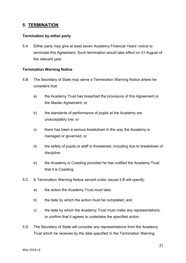# <span id="page-20-0"></span>**5. TERMINATION**

# <span id="page-20-1"></span>**Termination by either party**

5.A Either party may give at least seven Academy Financial Years' notice to terminate this Agreement. Such termination would take effect on 31 August of the relevant year.

# <span id="page-20-2"></span>**Termination Warning Notice**

- 5.B The Secretary of State may serve a Termination Warning Notice where he considers that:
	- a) the Academy Trust has breached the provisions of this Agreement or the Master Agreement; or
	- b) the standards of performance of pupils at the Academy are unacceptably low; or
	- c) there has been a serious breakdown in the way the Academy is managed or governed; or
	- d) the safety of pupils or staff is threatened, including due to breakdown of discipline.
	- e) the Academy is Coasting provided he has notified the Academy Trust that it is Coasting.
- 5.C A Termination Warning Notice served under clause 5.B will specify:
	- a) the action the Academy Trust must take;
	- b) the date by which the action must be completed; and
	- c) the date by which the Academy Trust must make any representations, or confirm that it agrees to undertake the specified action.
- 5.D The Secretary of State will consider any representations from the Academy Trust which he receives by the date specified in the Termination Warning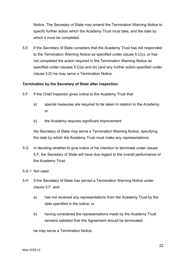Notice. The Secretary of State may amend the Termination Warning Notice to specify further action which the Academy Trust must take, and the date by which it must be completed.

5.E If the Secretary of State considers that the Academy Trust has not responded to the Termination Warning Notice as specified under clause 5.C(c), or has not completed the action required in the Termination Warning Notice as specified under clauses 5.C(a) and (b) (and any further action specified under clause 5.D) he may serve a Termination Notice.

#### <span id="page-21-0"></span>**Termination by the Secretary of State after inspection**

- 5.F If the Chief Inspector gives notice to the Academy Trust that:
	- a) special measures are required to be taken in relation to the Academy; or
	- b) the Academy requires significant improvement

the Secretary of State may serve a Termination Warning Notice, specifying the date by which the Academy Trust must make any representations.

- 5.G In deciding whether to give notice of his intention to terminate under clause 5.F, the Secretary of State will have due regard to the overall performance of the Academy Trust.
- 5.G.1 Not used.
- 5.H If the Secretary of State has served a Termination Warning Notice under clause 5.F and:
	- a) has not received any representations from the Academy Trust by the date specified in the notice; or
	- b) having considered the representations made by the Academy Trust remains satisfied that this Agreement should be terminated;

he may serve a Termination Notice.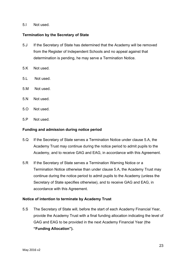#### 5.I Not used.

#### <span id="page-22-0"></span>**Termination by the Secretary of State**

- 5.J If the Secretary of State has determined that the Academy will be removed from the Register of Independent Schools and no appeal against that determination is pending, he may serve a Termination Notice.
- 5.K Not used.
- 5.L Not used.
- 5.M Not used.
- 5.N Not used.
- 5.O Not used.
- 5.P Not used.

#### <span id="page-22-1"></span>**Funding and admission during notice period**

- 5.Q If the Secretary of State serves a Termination Notice under clause 5.A, the Academy Trust may continue during the notice period to admit pupils to the Academy, and to receive GAG and EAG, in accordance with this Agreement.
- 5.R If the Secretary of State serves a Termination Warning Notice or a Termination Notice otherwise than under clause 5.A, the Academy Trust may continue during the notice period to admit pupils to the Academy (unless the Secretary of State specifies otherwise), and to receive GAG and EAG, in accordance with this Agreement.

#### <span id="page-22-2"></span>**Notice of intention to terminate by Academy Trust**

5.S The Secretary of State will, before the start of each Academy Financial Year, provide the Academy Trust with a final funding allocation indicating the level of GAG and EAG to be provided in the next Academy Financial Year (the **"Funding Allocation").**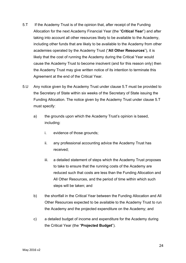- 5.T If the Academy Trust is of the opinion that, after receipt of the Funding Allocation for the next Academy Financial Year (the "**Critical Year**") and after taking into account all other resources likely to be available to the Academy, including other funds that are likely to be available to the Academy from other academies operated by the Academy Trust ("**All Other Resources**"), it is likely that the cost of running the Academy during the Critical Year would cause the Academy Trust to become insolvent (and for this reason only) then the Academy Trust may give written notice of its intention to terminate this Agreement at the end of the Critical Year.
- 5.U Any notice given by the Academy Trust under clause 5.T must be provided to the Secretary of State within six weeks of the Secretary of State issuing the Funding Allocation. The notice given by the Academy Trust under clause 5.T must specify:
	- a) the grounds upon which the Academy Trust's opinion is based, including:
		- i. evidence of those grounds;
		- ii. any professional accounting advice the Academy Trust has received;
		- iii. a detailed statement of steps which the Academy Trust proposes to take to ensure that the running costs of the Academy are reduced such that costs are less than the Funding Allocation and All Other Resources, and the period of time within which such steps will be taken; and
	- b) the shortfall in the Critical Year between the Funding Allocation and All Other Resources expected to be available to the Academy Trust to run the Academy and the projected expenditure on the Academy; and
	- c) a detailed budget of income and expenditure for the Academy during the Critical Year (the "**Projected Budget**").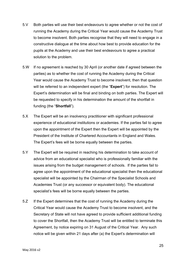- 5.V Both parties will use their best endeavours to agree whether or not the cost of running the Academy during the Critical Year would cause the Academy Trust to become insolvent. Both parties recognise that they will need to engage in a constructive dialogue at the time about how best to provide education for the pupils at the Academy and use their best endeavours to agree a practical solution to the problem.
- 5.W If no agreement is reached by 30 April (or another date if agreed between the parties) as to whether the cost of running the Academy during the Critical Year would cause the Academy Trust to become insolvent, then that question will be referred to an independent expert (the "**Expert**") for resolution. The Expert's determination will be final and binding on both parties. The Expert will be requested to specify in his determination the amount of the shortfall in funding (the "**Shortfall**").
- 5.X The Expert will be an insolvency practitioner with significant professional experience of educational institutions or academies. If the parties fail to agree upon the appointment of the Expert then the Expert will be appointed by the President of the Institute of Chartered Accountants in England and Wales. The Expert's fees will be borne equally between the parties.
- 5.Y The Expert will be required in reaching his determination to take account of advice from an educational specialist who is professionally familiar with the issues arising from the budget management of schools. If the parties fail to agree upon the appointment of the educational specialist then the educational specialist will be appointed by the Chairman of the Specialist Schools and Academies Trust (or any successor or equivalent body). The educational specialist's fees will be borne equally between the parties.
- 5.Z If the Expert determines that the cost of running the Academy during the Critical Year would cause the Academy Trust to become insolvent, and the Secretary of State will not have agreed to provide sufficient additional funding to cover the Shortfall, then the Academy Trust will be entitled to terminate this Agreement, by notice expiring on 31 August of the Critical Year. Any such notice will be given within 21 days after (a) the Expert's determination will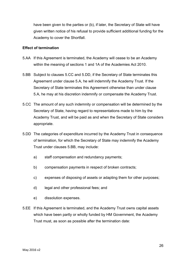have been given to the parties or (b), if later, the Secretary of State will have given written notice of his refusal to provide sufficient additional funding for the Academy to cover the Shortfall.

#### <span id="page-25-0"></span>**Effect of termination**

- 5.AA If this Agreement is terminated, the Academy will cease to be an Academy within the meaning of sections 1 and 1A of the Academies Act 2010.
- 5.BB Subject to clauses 5.CC and 5.DD, if the Secretary of State terminates this Agreement under clause 5.A, he will indemnify the Academy Trust. If the Secretary of State terminates this Agreement otherwise than under clause 5.A, he may at his discretion indemnify or compensate the Academy Trust.
- 5.CC The amount of any such indemnity or compensation will be determined by the Secretary of State, having regard to representations made to him by the Academy Trust, and will be paid as and when the Secretary of State considers appropriate.
- 5.DD The categories of expenditure incurred by the Academy Trust in consequence of termination, for which the Secretary of State may indemnify the Academy Trust under clauses 5.BB, may include:
	- a) staff compensation and redundancy payments;
	- b) compensation payments in respect of broken contracts;
	- c) expenses of disposing of assets or adapting them for other purposes;
	- d) legal and other professional fees; and
	- e) dissolution expenses.
- 5.EE If this Agreement is terminated, and the Academy Trust owns capital assets which have been partly or wholly funded by HM Government, the Academy Trust must, as soon as possible after the termination date: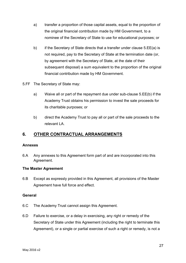- a) transfer a proportion of those capital assets, equal to the proportion of the original financial contribution made by HM Government, to a nominee of the Secretary of State to use for educational purposes; or
- b) if the Secretary of State directs that a transfer under clause 5.EE(a) is not required, pay to the Secretary of State at the termination date (or, by agreement with the Secretary of State, at the date of their subsequent disposal) a sum equivalent to the proportion of the original financial contribution made by HM Government.
- 5.FF The Secretary of State may:
	- a) Waive all or part of the repayment due under sub-clause 5.EE(b) if the Academy Trust obtains his permission to invest the sale proceeds for its charitable purposes; or
	- b) direct the Academy Trust to pay all or part of the sale proceeds to the relevant LA.

# <span id="page-26-0"></span>**6. OTHER CONTRACTUAL ARRANGEMENTS**

#### <span id="page-26-1"></span>**Annexes**

6.A Any annexes to this Agreement form part of and are incorporated into this Agreement.

#### <span id="page-26-2"></span>**The Master Agreement**

6.B Except as expressly provided in this Agreement, all provisions of the Master Agreement have full force and effect.

#### <span id="page-26-3"></span>**General**

- 6.C The Academy Trust cannot assign this Agreement.
- 6.D Failure to exercise, or a delay in exercising, any right or remedy of the Secretary of State under this Agreement (including the right to terminate this Agreement), or a single or partial exercise of such a right or remedy, is not a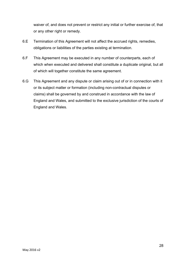waiver of, and does not prevent or restrict any initial or further exercise of, that or any other right or remedy.

- 6.E Termination of this Agreement will not affect the accrued rights, remedies, obligations or liabilities of the parties existing at termination.
- 6.F This Agreement may be executed in any number of counterparts, each of which when executed and delivered shall constitute a duplicate original, but all of which will together constitute the same agreement.
- 6.G This Agreement and any dispute or claim arising out of or in connection with it or its subject matter or formation (including non-contractual disputes or claims) shall be governed by and construed in accordance with the law of England and Wales, and submitted to the exclusive jurisdiction of the courts of England and Wales.